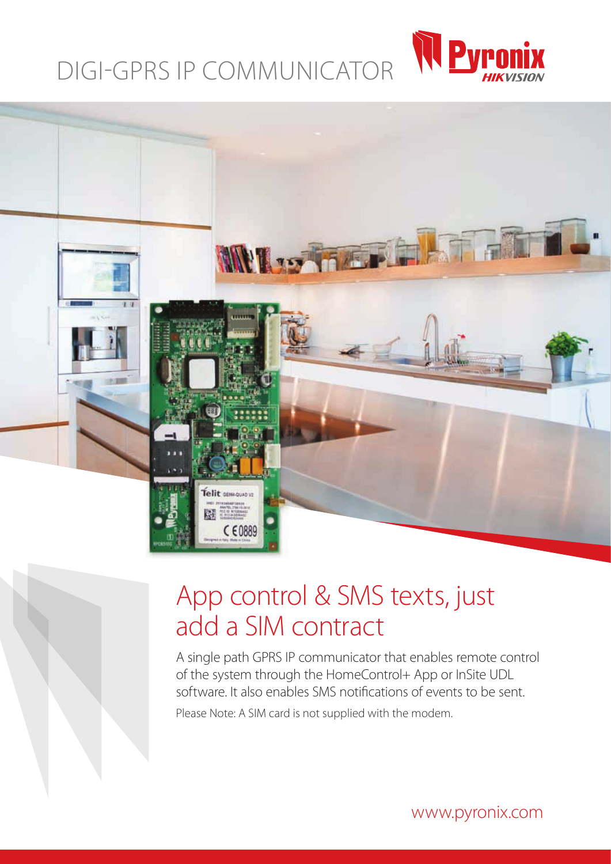# DIGI-GPRS IP COMMUNICATOR





### App control & SMS texts, just add a SIM contract

A single path GPRS IP communicator that enables remote control of the system through the HomeControl+ App or InSite UDL software. It also enables SMS notifications of events to be sent.

Please Note: A SIM card is not supplied with the modem.